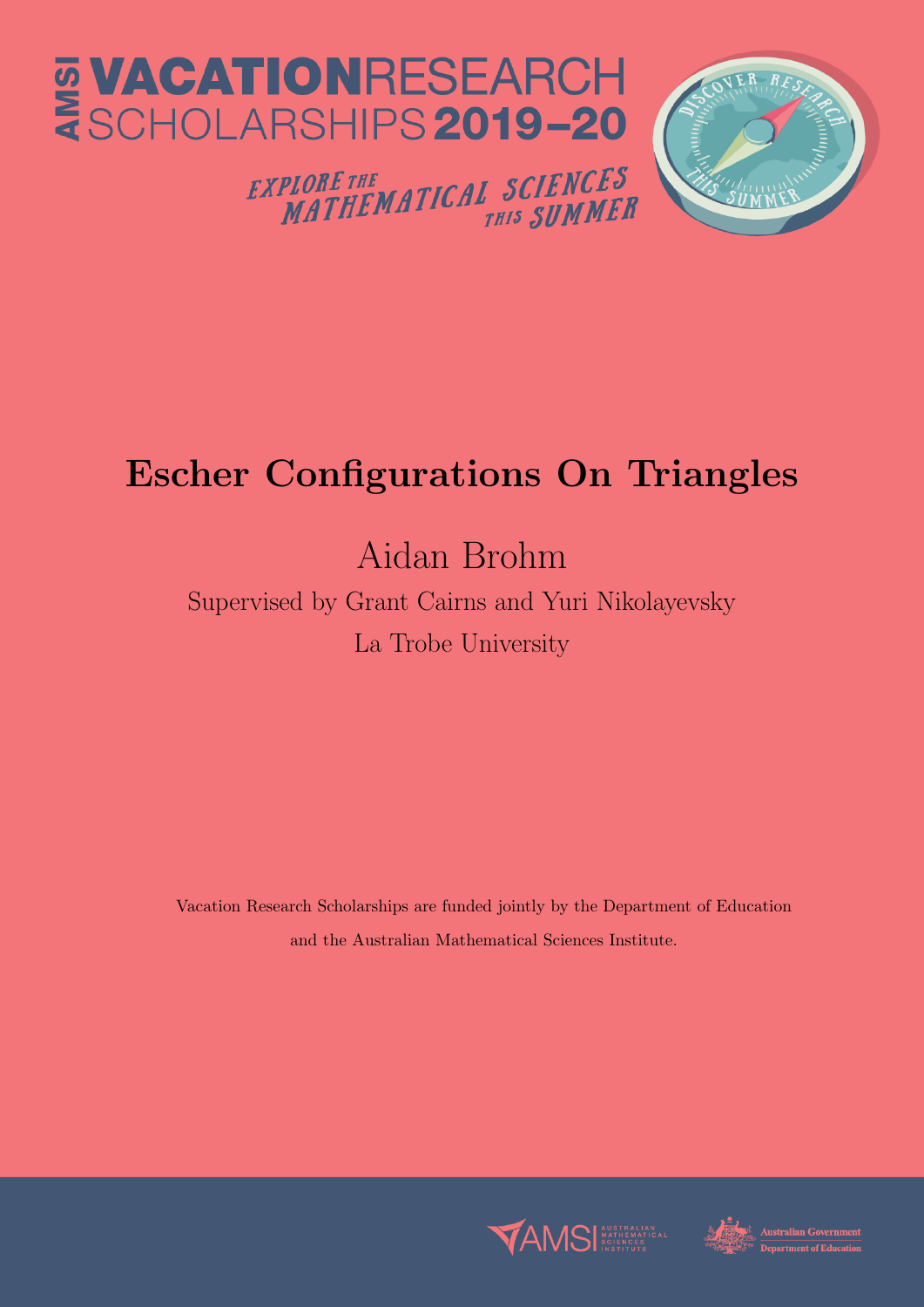

# Escher Configurations On Triangles

# Aidan Brohm

Supervised by Grant Cairns and Yuri Nikolayevsky La Trobe University

Vacation Research Scholarships are funded jointly by the Department of Education and the Australian Mathematical Sciences Institute.



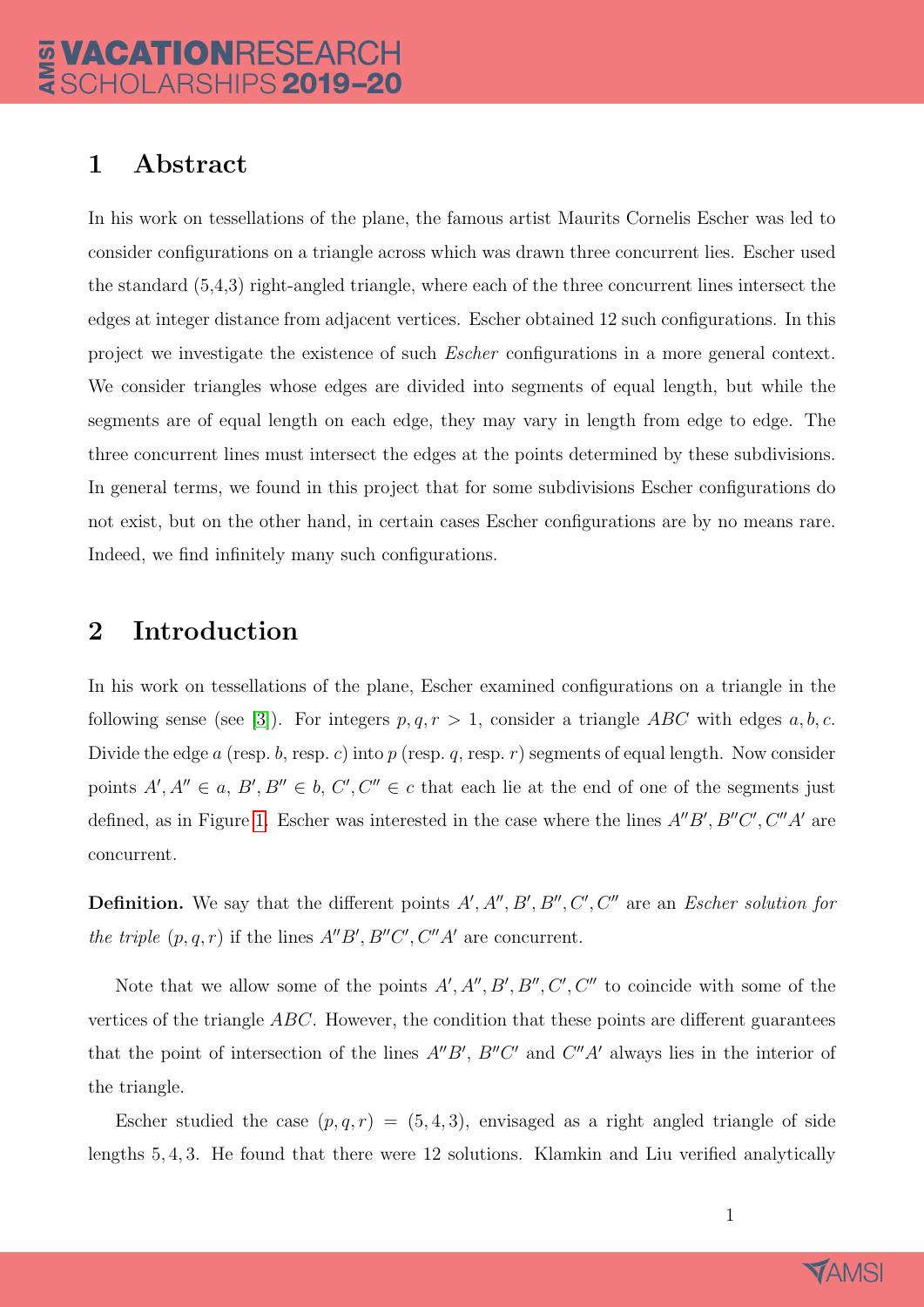### 1 Abstract

In his work on tessellations of the plane, the famous artist Maurits Cornelis Escher was led to consider configurations on a triangle across which was drawn three concurrent lies. Escher used the standard (5,4,3) right-angled triangle, where each of the three concurrent lines intersect the edges at integer distance from adjacent vertices. Escher obtained 12 such configurations. In this project we investigate the existence of such Escher configurations in a more general context. We consider triangles whose edges are divided into segments of equal length, but while the segments are of equal length on each edge, they may vary in length from edge to edge. The three concurrent lines must intersect the edges at the points determined by these subdivisions. In general terms, we found in this project that for some subdivisions Escher configurations do not exist, but on the other hand, in certain cases Escher configurations are by no means rare. Indeed, we find infinitely many such configurations.

#### 2 Introduction

In his work on tessellations of the plane, Escher examined configurations on a triangle in the following sense (see [\[3\]](#page-10-0)). For integers  $p, q, r > 1$ , consider a triangle ABC with edges  $a, b, c$ . Divide the edge a (resp. b, resp. c) into p (resp. q, resp. r) segments of equal length. Now consider points  $A', A'' \in a, B', B'' \in b, C', C'' \in c$  that each lie at the end of one of the segments just defined, as in Figure [1.](#page-2-0) Escher was interested in the case where the lines  $A''B', B''C', C''A'$  are concurrent.

**Definition.** We say that the different points  $A', A'', B', B'', C', C''$  are an *Escher solution for* the triple  $(p, q, r)$  if the lines  $A''B', B''C', C''A'$  are concurrent.

Note that we allow some of the points  $A', A'', B', B'', C', C''$  to coincide with some of the vertices of the triangle ABC. However, the condition that these points are different guarantees that the point of intersection of the lines  $A''B'$ ,  $B''C'$  and  $C''A'$  always lies in the interior of the triangle.

Escher studied the case  $(p, q, r) = (5, 4, 3)$ , envisaged as a right angled triangle of side lengths 5, 4, 3. He found that there were 12 solutions. Klamkin and Liu verified analytically

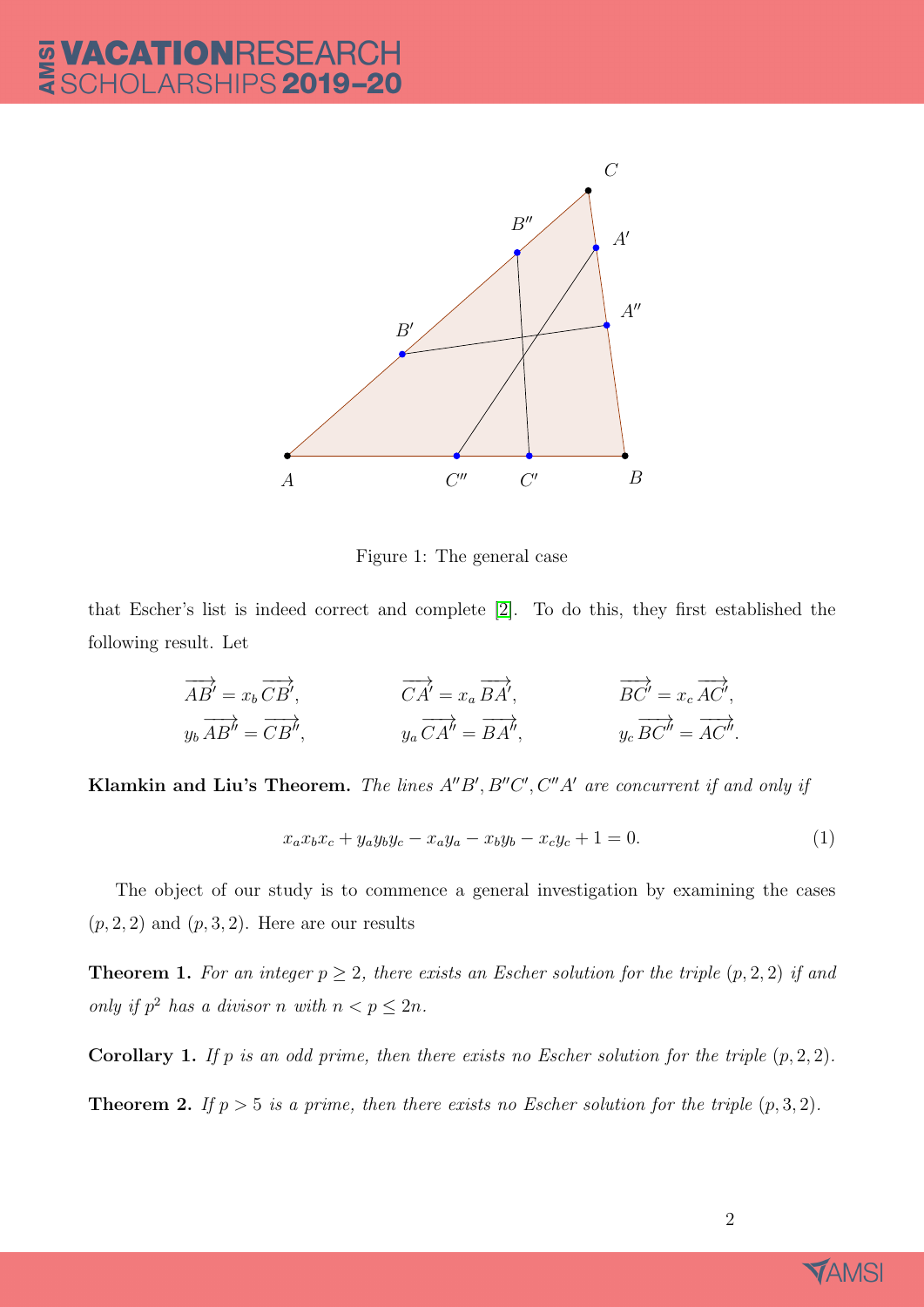

<span id="page-2-0"></span>Figure 1: The general case

that Escher's list is indeed correct and complete [\[2\]](#page-10-1). To do this, they first established the following result. Let

$$
\overrightarrow{AB'} = x_b \overrightarrow{CB'}, \qquad \qquad \overrightarrow{CA'} = x_a \overrightarrow{BA'}, \qquad \qquad \overrightarrow{BC'} = x_c \overrightarrow{AC'},
$$
  
\n
$$
y_b \overrightarrow{AB'} = \overrightarrow{CB'}, \qquad \qquad y_a \overrightarrow{CA'} = \overrightarrow{BA'}, \qquad \qquad y_c \overrightarrow{BC'} = \overrightarrow{AC''}.
$$

**Klamkin and Liu's Theorem.** The lines  $A''B'$ ,  $B''C'$ ,  $C''A'$  are concurrent if and only if

<span id="page-2-2"></span>
$$
x_a x_b x_c + y_a y_b y_c - x_a y_a - x_b y_b - x_c y_c + 1 = 0.
$$
 (1)

The object of our study is to commence a general investigation by examining the cases  $(p, 2, 2)$  and  $(p, 3, 2)$ . Here are our results

<span id="page-2-1"></span>**Theorem 1.** For an integer  $p \geq 2$ , there exists an Escher solution for the triple  $(p, 2, 2)$  if and only if  $p^2$  has a divisor n with  $n < p \leq 2n$ .

<span id="page-2-3"></span>**Corollary 1.** If p is an odd prime, then there exists no Escher solution for the triple  $(p, 2, 2)$ .

<span id="page-2-4"></span>**Theorem 2.** If  $p > 5$  is a prime, then there exists no Escher solution for the triple  $(p, 3, 2)$ .

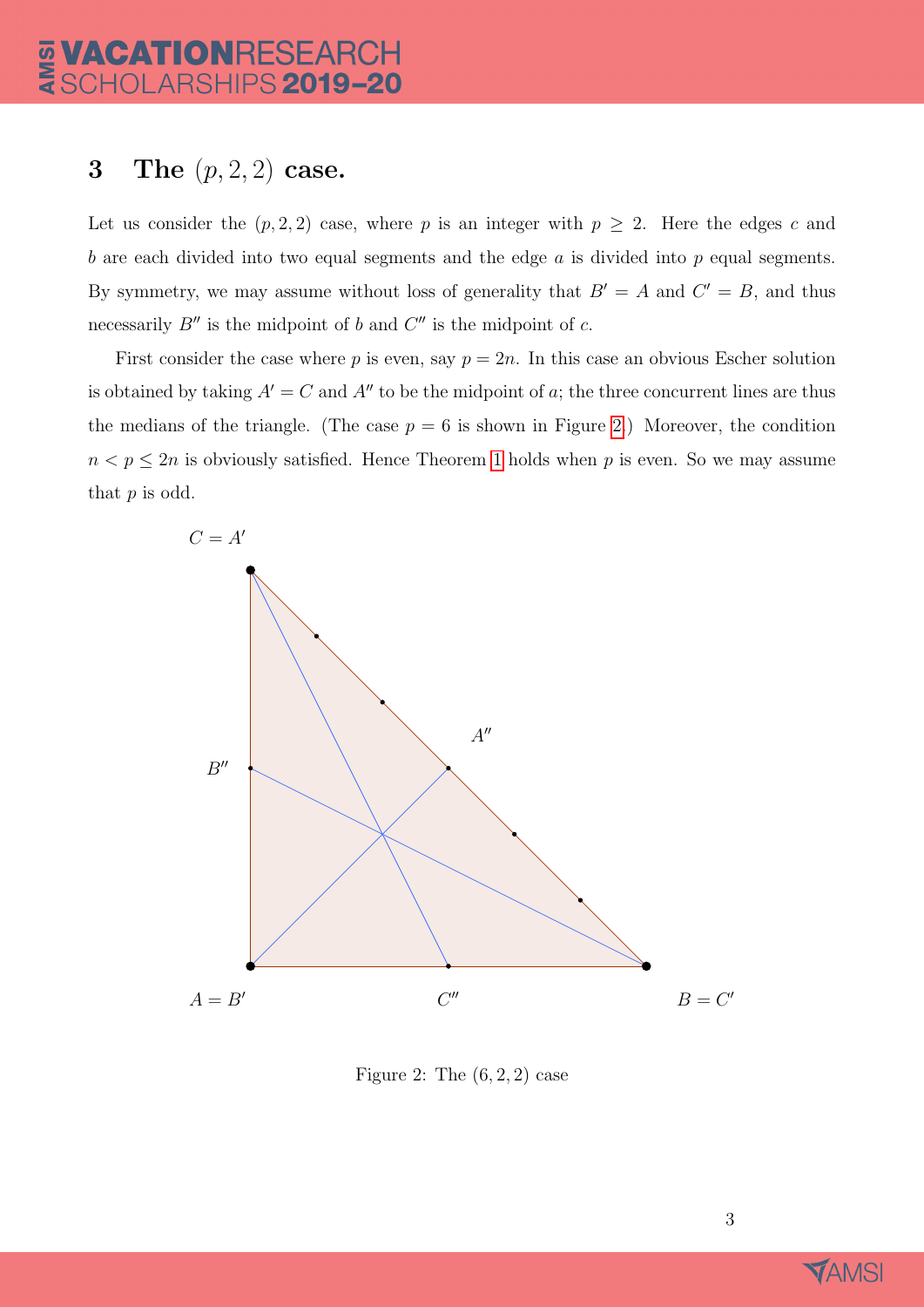## 3 The  $(p, 2, 2)$  case.

Let us consider the  $(p, 2, 2)$  case, where p is an integer with  $p \geq 2$ . Here the edges c and  $b$  are each divided into two equal segments and the edge  $a$  is divided into  $p$  equal segments. By symmetry, we may assume without loss of generality that  $B' = A$  and  $C' = B$ , and thus necessarily  $B''$  is the midpoint of b and  $C''$  is the midpoint of c.

First consider the case where p is even, say  $p = 2n$ . In this case an obvious Escher solution is obtained by taking  $A' = C$  and  $A''$  to be the midpoint of a; the three concurrent lines are thus the medians of the triangle. (The case  $p = 6$  is shown in Figure [2.](#page-3-0)) Moreover, the condition  $n < p \leq 2n$  is obviously satisfied. Hence Theorem [1](#page-2-1) holds when p is even. So we may assume that  $p$  is odd.



<span id="page-3-0"></span>Figure 2: The  $(6, 2, 2)$  case

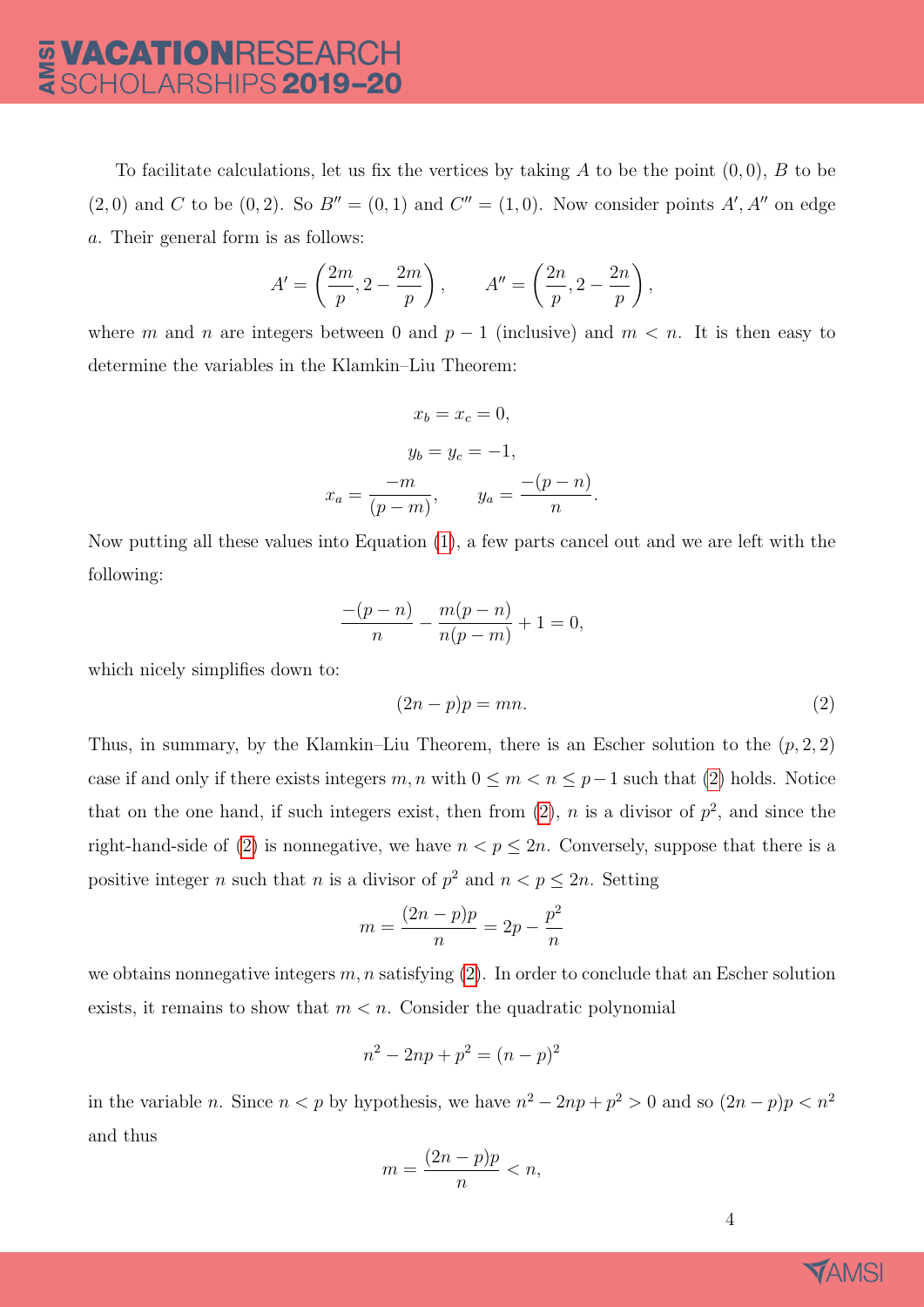To facilitate calculations, let us fix the vertices by taking A to be the point  $(0, 0)$ , B to be  $(2,0)$  and C to be  $(0,2)$ . So  $B'' = (0,1)$  and  $C'' = (1,0)$ . Now consider points A', A'' on edge a. Their general form is as follows:

$$
A' = \left(\frac{2m}{p}, 2 - \frac{2m}{p}\right), \qquad A'' = \left(\frac{2n}{p}, 2 - \frac{2n}{p}\right),
$$

where m and n are integers between 0 and  $p-1$  (inclusive) and  $m < n$ . It is then easy to determine the variables in the Klamkin–Liu Theorem:

$$
x_b = x_c = 0,
$$
  
\n
$$
y_b = y_c = -1,
$$
  
\n
$$
x_a = \frac{-m}{(p-m)}, \qquad y_a = \frac{-(p-n)}{n}
$$

Now putting all these values into Equation [\(1\)](#page-2-2), a few parts cancel out and we are left with the following:

$$
\frac{-(p-n)}{n} - \frac{m(p-n)}{n(p-m)} + 1 = 0,
$$

which nicely simplifies down to:

<span id="page-4-0"></span>
$$
(2n-p)p = mn.
$$
 (2)

.

Thus, in summary, by the Klamkin–Liu Theorem, there is an Escher solution to the  $(p, 2, 2)$ case if and only if there exists integers  $m, n$  with  $0 \leq m < n \leq p-1$  such that [\(2\)](#page-4-0) holds. Notice that on the one hand, if such integers exist, then from  $(2)$ , n is a divisor of  $p^2$ , and since the right-hand-side of [\(2\)](#page-4-0) is nonnegative, we have  $n < p \leq 2n$ . Conversely, suppose that there is a positive integer *n* such that *n* is a divisor of  $p^2$  and  $n < p \le 2n$ . Setting

$$
m = \frac{(2n-p)p}{n} = 2p - \frac{p^2}{n}
$$

we obtains nonnegative integers  $m, n$  satisfying [\(2\)](#page-4-0). In order to conclude that an Escher solution exists, it remains to show that  $m < n$ . Consider the quadratic polynomial

$$
n^2 - 2np + p^2 = (n - p)^2
$$

in the variable *n*. Since  $n < p$  by hypothesis, we have  $n^2 - 2np + p^2 > 0$  and so  $(2n - p)p < n^2$ and thus

$$
m = \frac{(2n-p)p}{n} < n,
$$

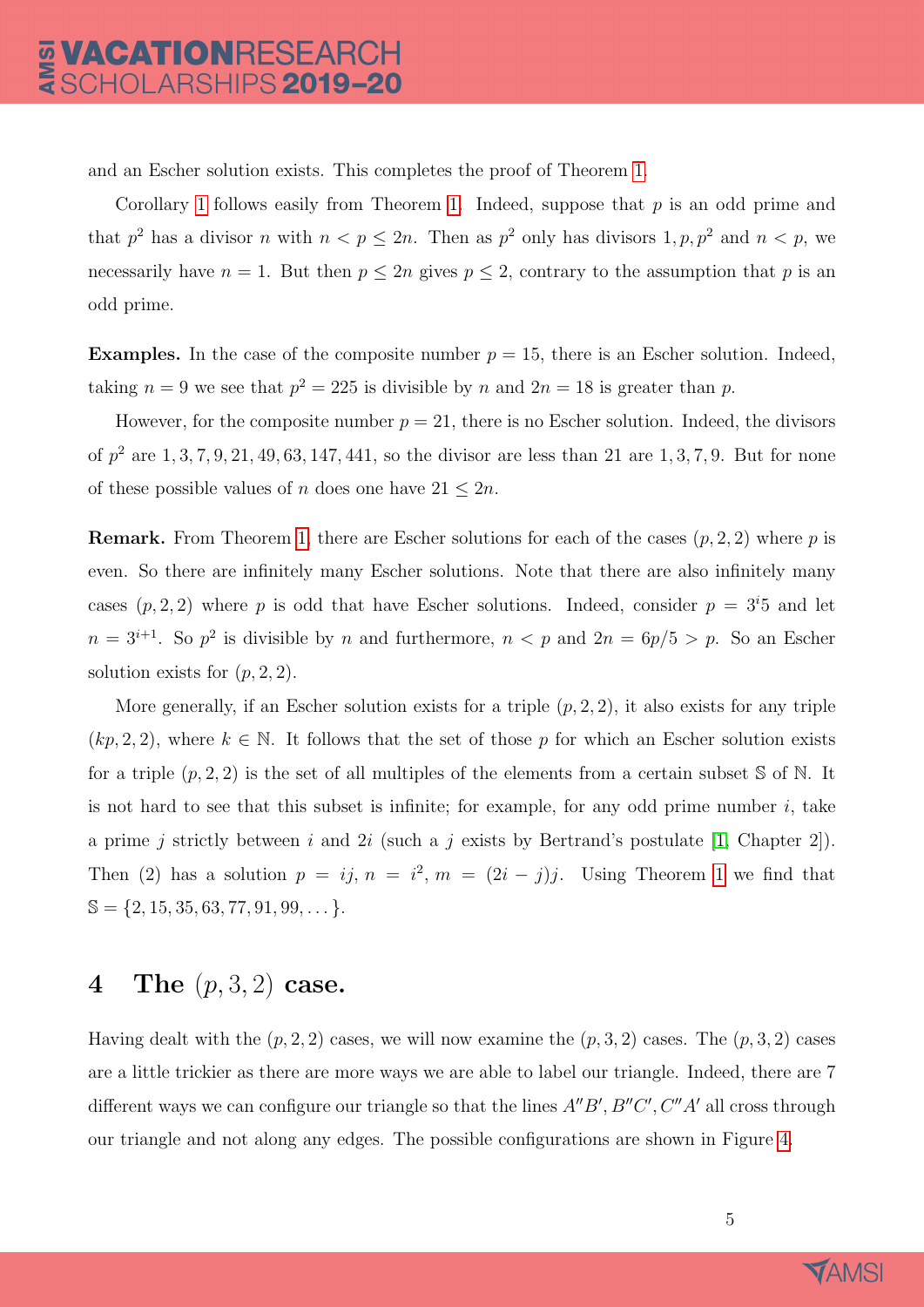and an Escher solution exists. This completes the proof of Theorem [1.](#page-2-1)

Corollary [1](#page-2-3) follows easily from Theorem [1.](#page-2-1) Indeed, suppose that  $p$  is an odd prime and that  $p^2$  has a divisor n with  $n < p \leq 2n$ . Then as  $p^2$  only has divisors  $1, p, p^2$  and  $n < p$ , we necessarily have  $n = 1$ . But then  $p \le 2n$  gives  $p \le 2$ , contrary to the assumption that p is an odd prime.

**Examples.** In the case of the composite number  $p = 15$ , there is an Escher solution. Indeed, taking  $n = 9$  we see that  $p^2 = 225$  is divisible by n and  $2n = 18$  is greater than p.

However, for the composite number  $p = 21$ , there is no Escher solution. Indeed, the divisors of  $p^2$  are  $1, 3, 7, 9, 21, 49, 63, 147, 441$ , so the divisor are less than 21 are  $1, 3, 7, 9$ . But for none of these possible values of n does one have  $21 \leq 2n$ .

**Remark.** From Theorem [1,](#page-2-1) there are Escher solutions for each of the cases  $(p, 2, 2)$  where p is even. So there are infinitely many Escher solutions. Note that there are also infinitely many cases  $(p, 2, 2)$  where p is odd that have Escher solutions. Indeed, consider  $p = 3<sup>i</sup>5$  and let  $n = 3^{i+1}$ . So  $p^2$  is divisible by n and furthermore,  $n < p$  and  $2n = 6p/5 > p$ . So an Escher solution exists for  $(p, 2, 2)$ .

More generally, if an Escher solution exists for a triple  $(p, 2, 2)$ , it also exists for any triple  $(kp, 2, 2)$ , where  $k \in \mathbb{N}$ . It follows that the set of those p for which an Escher solution exists for a triple  $(p, 2, 2)$  is the set of all multiples of the elements from a certain subset S of N. It is not hard to see that this subset is infinite; for example, for any odd prime number  $i$ , take a prime j strictly between i and 2i (such a j exists by Bertrand's postulate [\[1,](#page-10-2) Chapter 2]). Then (2) has a solution  $p = ij$ ,  $n = i^2$ ,  $m = (2i - j)j$ . Using Theorem [1](#page-2-1) we find that  $\mathbb{S} = \{2, 15, 35, 63, 77, 91, 99, \dots\}.$ 

### 4 The  $(p, 3, 2)$  case.

Having dealt with the  $(p, 2, 2)$  cases, we will now examine the  $(p, 3, 2)$  cases. The  $(p, 3, 2)$  cases are a little trickier as there are more ways we are able to label our triangle. Indeed, there are 7 different ways we can configure our triangle so that the lines  $A''B'$ ,  $B''C'$ ,  $C''A'$  all cross through our triangle and not along any edges. The possible configurations are shown in Figure [4.](#page-9-0)

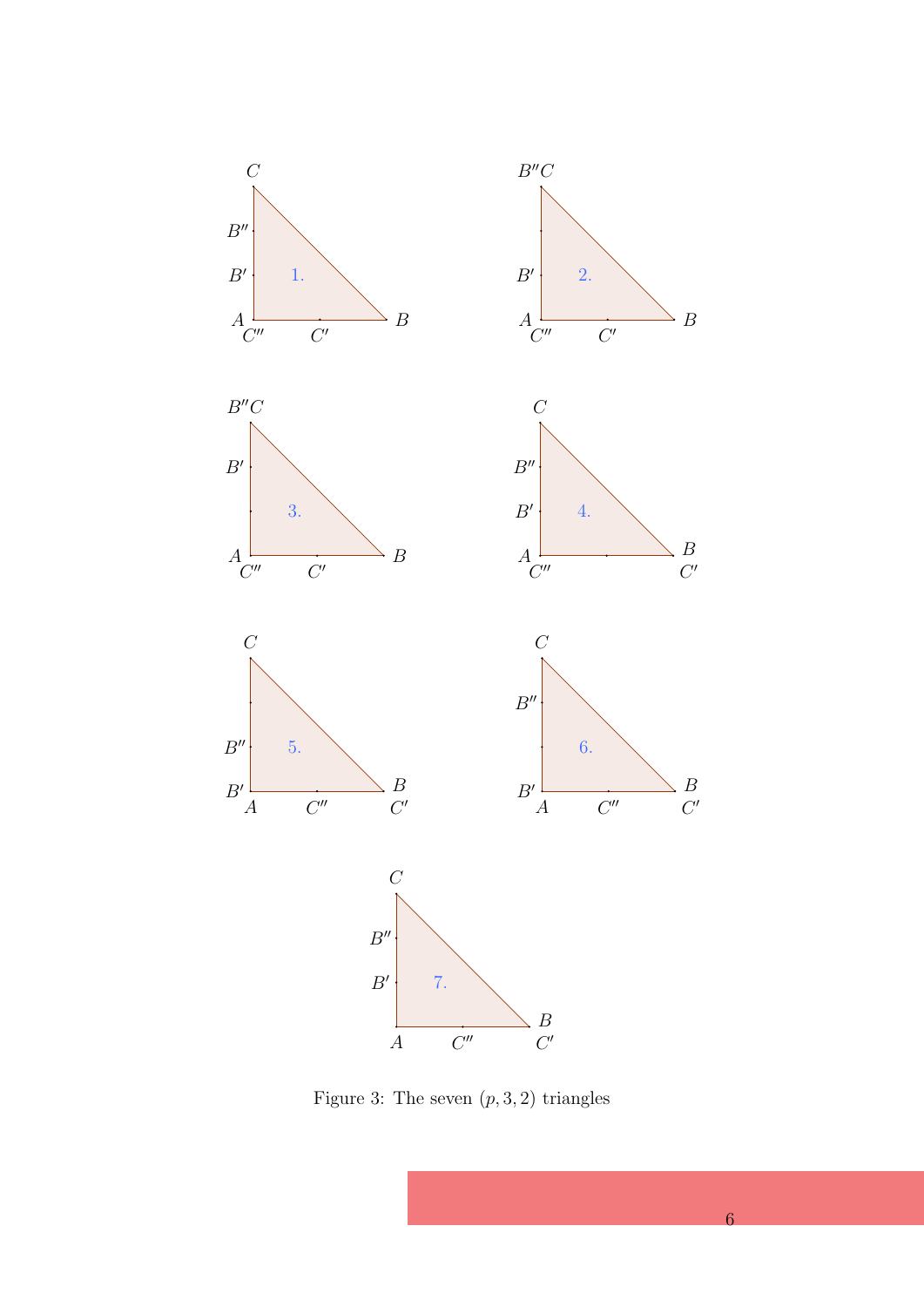

Figure 3: The seven  $(p, 3, 2)$  triangles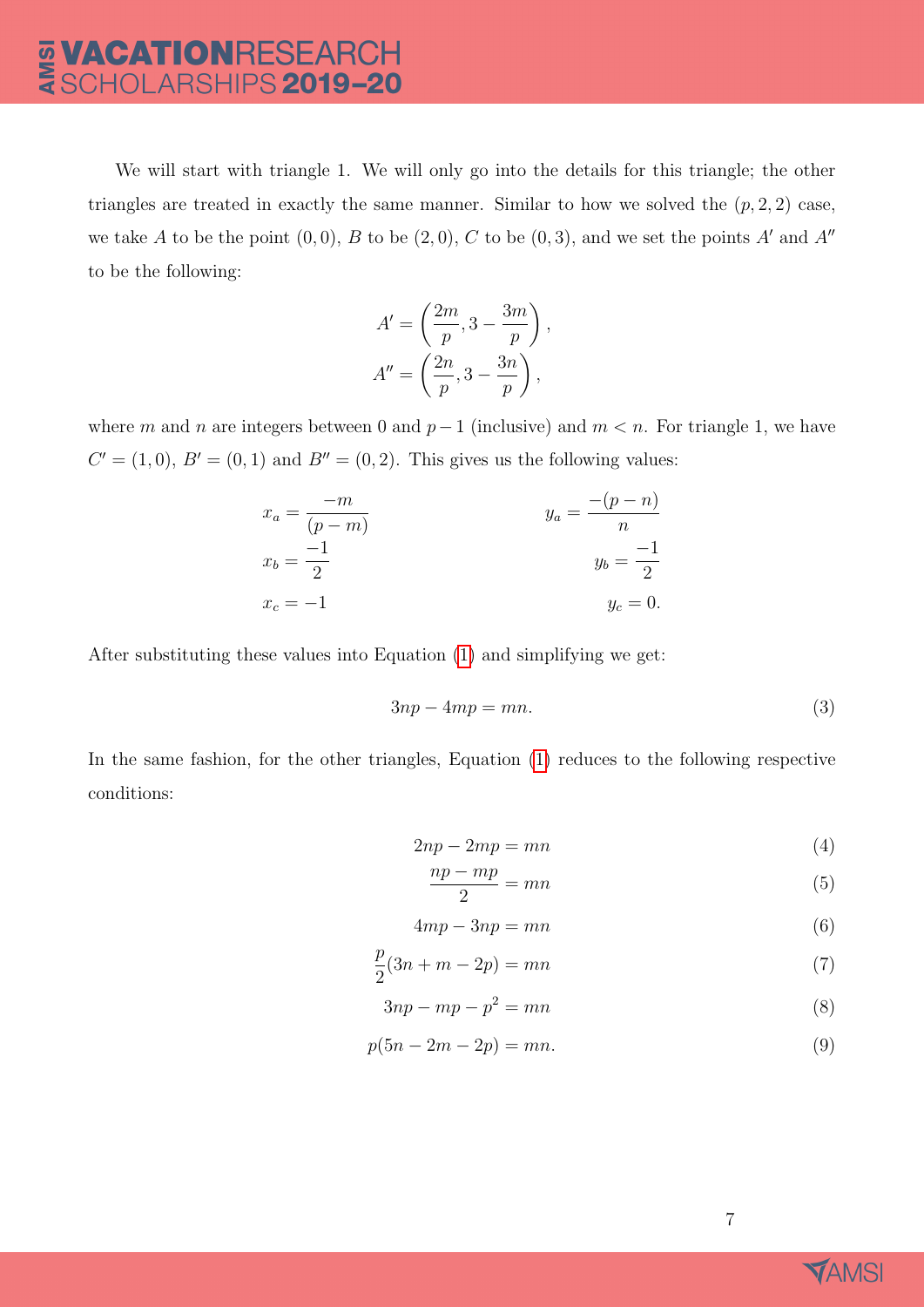# **VACATIONRESEARCH<br>SCHOLARSHIPS 2019-20** AMSI

We will start with triangle 1. We will only go into the details for this triangle; the other triangles are treated in exactly the same manner. Similar to how we solved the  $(p, 2, 2)$  case, we take A to be the point  $(0, 0)$ , B to be  $(2, 0)$ , C to be  $(0, 3)$ , and we set the points A' and A'' to be the following:

$$
A' = \left(\frac{2m}{p}, 3 - \frac{3m}{p}\right),
$$
  

$$
A'' = \left(\frac{2n}{p}, 3 - \frac{3n}{p}\right),
$$

where m and n are integers between 0 and  $p-1$  (inclusive) and  $m < n$ . For triangle 1, we have  $C' = (1, 0), B' = (0, 1)$  and  $B'' = (0, 2)$ . This gives us the following values:

$$
x_a = \frac{-m}{(p-m)}
$$
  
\n
$$
x_b = \frac{-1}{2}
$$
  
\n
$$
x_c = -1
$$
  
\n
$$
y_a = \frac{-(p-n)}{n}
$$
  
\n
$$
y_b = \frac{-1}{2}
$$
  
\n
$$
y_c = 0.
$$

After substituting these values into Equation [\(1\)](#page-2-2) and simplifying we get:

<span id="page-7-0"></span>
$$
3np - 4mp = mn.
$$
\n(3)

In the same fashion, for the other triangles, Equation [\(1\)](#page-2-2) reduces to the following respective conditions:

$$
2np - 2mp = mn \tag{4}
$$

<span id="page-7-2"></span><span id="page-7-1"></span>
$$
\frac{np - mp}{2} = mn \tag{5}
$$

$$
4mp - 3np = mn \tag{6}
$$

$$
\frac{p}{2}(3n+m-2p)=mn
$$
\n(7)

$$
3np - mp - p^2 = mn \tag{8}
$$

$$
p(5n - 2m - 2p) = mn.
$$
\n(9)

<span id="page-7-6"></span><span id="page-7-5"></span><span id="page-7-4"></span><span id="page-7-3"></span>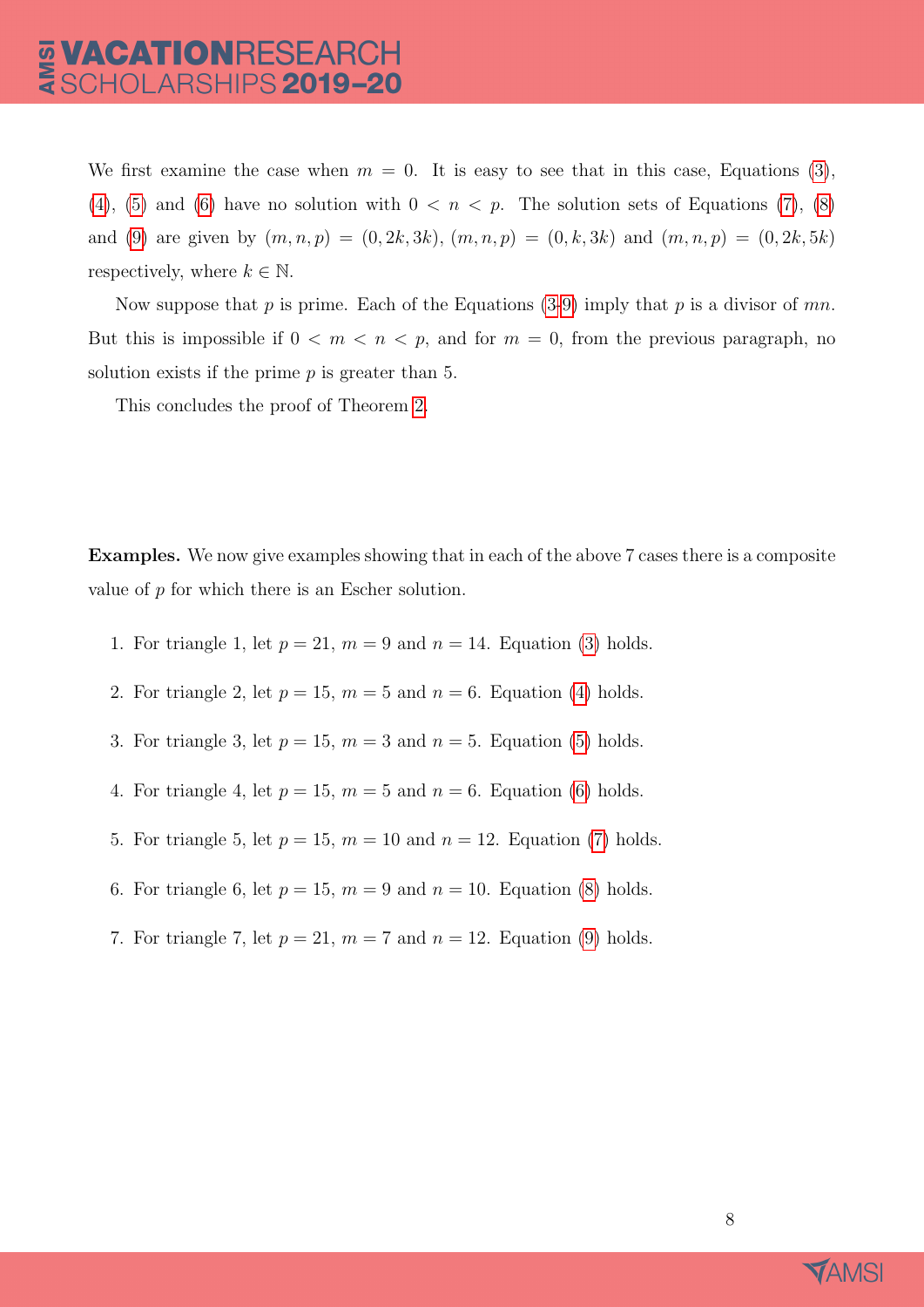We first examine the case when  $m = 0$ . It is easy to see that in this case, Equations [\(3\)](#page-7-0), [\(4\)](#page-7-1), [\(5\)](#page-7-2) and [\(6\)](#page-7-3) have no solution with  $0 < n < p$ . The solution sets of Equations [\(7\)](#page-7-4), [\(8\)](#page-7-5) and [\(9\)](#page-7-6) are given by  $(m, n, p) = (0, 2k, 3k), (m, n, p) = (0, k, 3k)$  and  $(m, n, p) = (0, 2k, 5k)$ respectively, where  $k \in \mathbb{N}$ .

Now suppose that p is prime. Each of the Equations  $(3-9)$  $(3-9)$  imply that p is a divisor of mn. But this is impossible if  $0 < m < n < p$ , and for  $m = 0$ , from the previous paragraph, no solution exists if the prime  $p$  is greater than 5.

This concludes the proof of Theorem [2.](#page-2-4)

Examples. We now give examples showing that in each of the above 7 cases there is a composite value of p for which there is an Escher solution.

- 1. For triangle 1, let  $p = 21$ ,  $m = 9$  and  $n = 14$ . Equation [\(3\)](#page-7-0) holds.
- 2. For triangle 2, let  $p = 15$ ,  $m = 5$  and  $n = 6$ . Equation [\(4\)](#page-7-1) holds.
- 3. For triangle 3, let  $p = 15$ ,  $m = 3$  and  $n = 5$ . Equation [\(5\)](#page-7-2) holds.
- 4. For triangle 4, let  $p = 15$ ,  $m = 5$  and  $n = 6$ . Equation [\(6\)](#page-7-3) holds.
- 5. For triangle 5, let  $p = 15$ ,  $m = 10$  and  $n = 12$ . Equation [\(7\)](#page-7-4) holds.
- 6. For triangle 6, let  $p = 15$ ,  $m = 9$  and  $n = 10$ . Equation [\(8\)](#page-7-5) holds.
- 7. For triangle 7, let  $p = 21$ ,  $m = 7$  and  $n = 12$ . Equation [\(9\)](#page-7-6) holds.

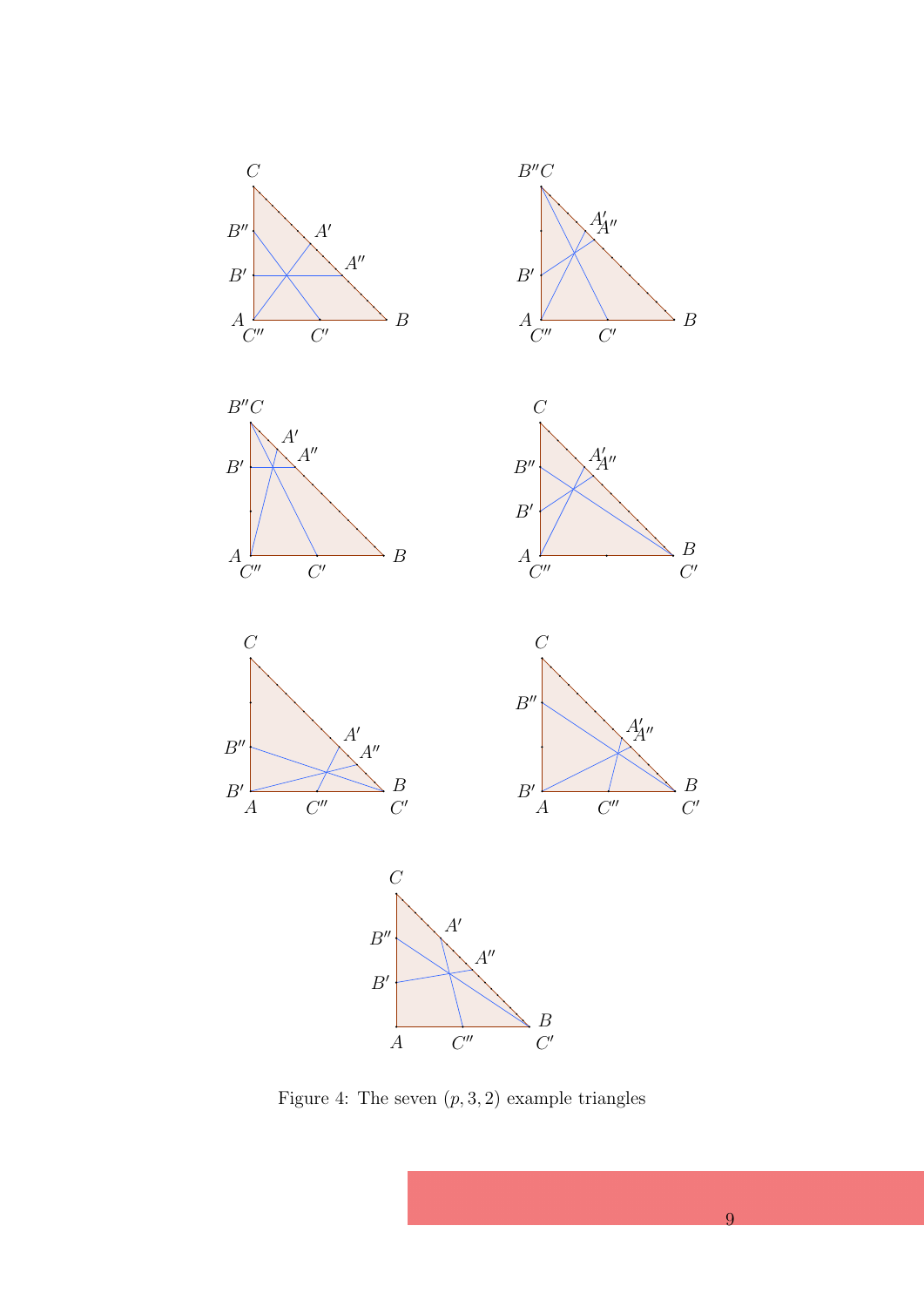







 $A'_{\!\!A''}$ 

 $C''$ 

 $\begin{array}{c} B \\ C' \end{array}$ 





<span id="page-9-0"></span>Figure 4: The seven  $(p, 3, 2)$  example triangles